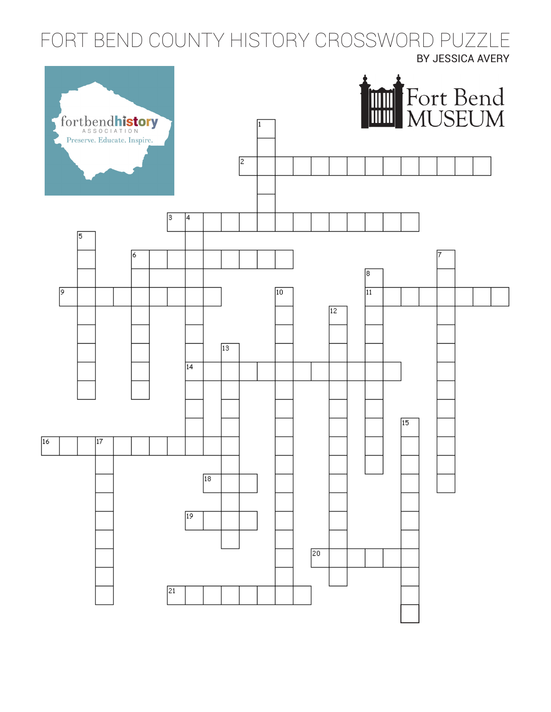Fort Bend County History FORT BEND COUNTY HISTORY CROSSWORD PUZZLEBY JESSICA AVERY